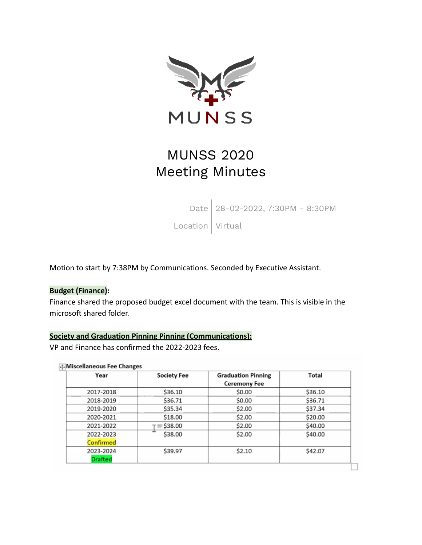

# MUNSS 2020 Meeting Minutes

Date 28-02-2022, 7:30PM - 8:30PM

 $\begin{array}{c|c} \text{Location} & \text{Virtual} \\ \end{array}$ 

Motion to start by 7:38PM by Communications. Seconded by Executive Assistant.

### **Budget (Finance):**

Finance shared the proposed budget excel document with the team. This is visible in the microsoft shared folder.

## **Society and Graduation Pinning Pinning (Communications):**

VP and Finance has confirmed the 2022-2023 fees.

#### **I**. Miscellaneous Fee Changes

| Year           | <b>Society Fee</b> | <b>Graduation Pinning</b><br><b>Ceremony Fee</b> | Total   |
|----------------|--------------------|--------------------------------------------------|---------|
|                |                    |                                                  |         |
| 2018-2019      | \$36.71            | \$0.00                                           | \$36.71 |
| 2019-2020      | \$35.34            | \$2.00                                           | \$37.34 |
| 2020-2021      | \$18.00            | \$2.00                                           | \$20.00 |
| 2021-2022      | r≡\$38.00          | \$2.00                                           | \$40.00 |
| 2022-2023      | -<br>\$38.00       | \$2.00                                           | \$40.00 |
| Confirmed      |                    |                                                  |         |
| 2023-2024      | \$39.97            | \$2.10                                           | \$42.07 |
| <b>Drafted</b> |                    |                                                  |         |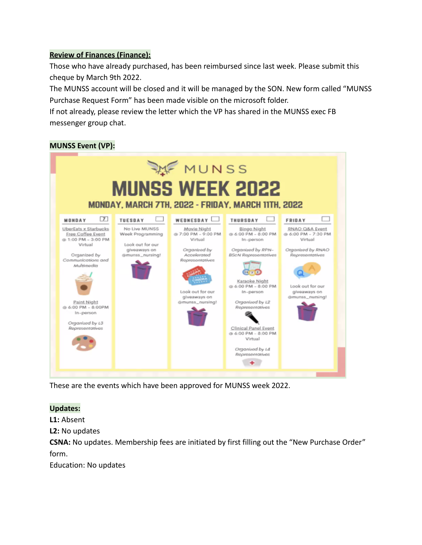## **Review of Finances (Finance):**

Those who have already purchased, has been reimbursed since last week. Please submit this cheque by March 9th 2022.

The MUNSS account will be closed and it will be managed by the SON. New form called "MUNSS Purchase Request Form" has been made visible on the microsoft folder.

If not already, please review the letter which the VP has shared in the MUNSS exec FB messenger group chat.

# **MUNSS Event (VP):**



These are the events which have been approved for MUNSS week 2022.

## **Updates:**

**L1:** Absent

**L2:** No updates

**CSNA:** No updates. Membership fees are initiated by first filling out the "New Purchase Order" form.

Education: No updates